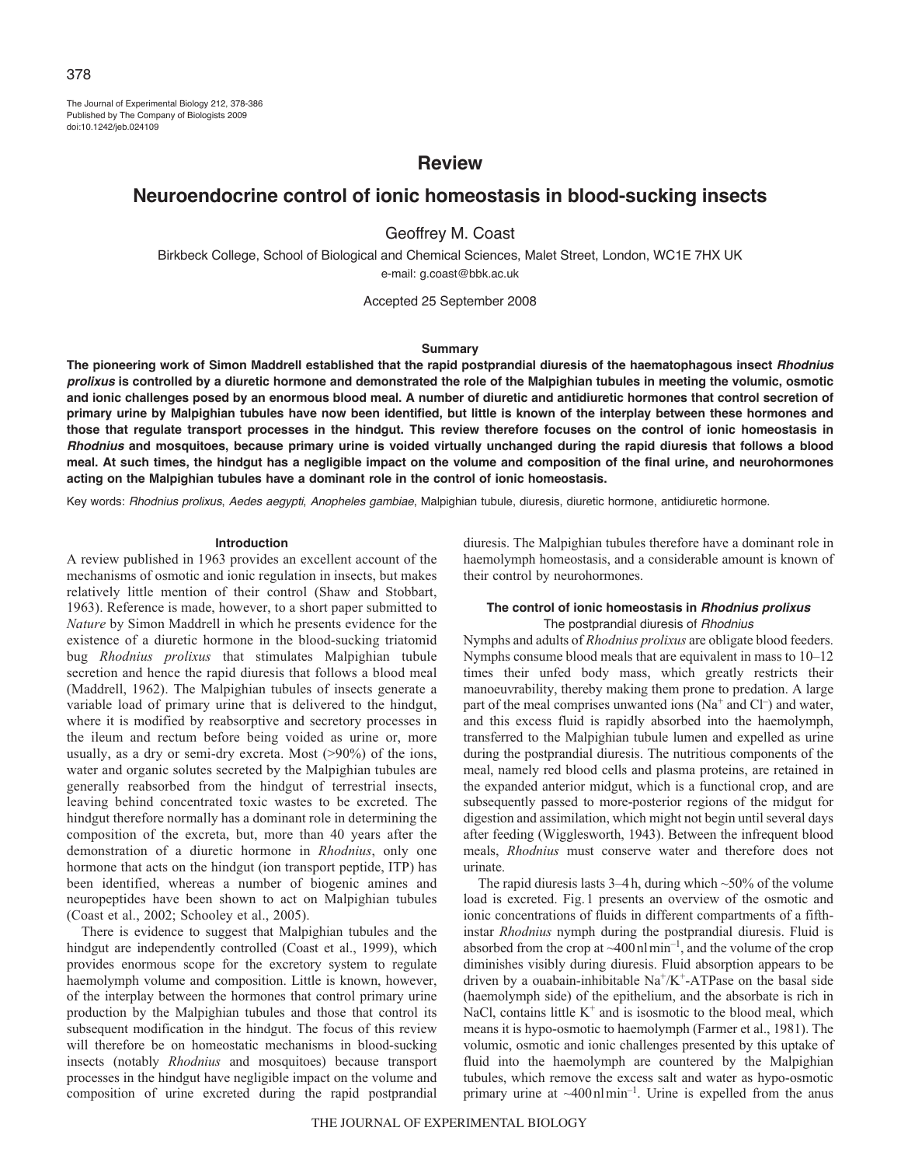The Journal of Experimental Biology 212, 378-386 Published by The Company of Biologists 2009 doi:10.1242/jeb.024109

## **Review**

# **Neuroendocrine control of ionic homeostasis in blood-sucking insects**

Geoffrey M. Coast

Birkbeck College, School of Biological and Chemical Sciences, Malet Street, London, WC1E 7HX UK e-mail: g.coast@bbk.ac.uk

Accepted 25 September 2008

### **Summary**

**The pioneering work of Simon Maddrell established that the rapid postprandial diuresis of the haematophagous insect** *Rhodnius prolixus* **is controlled by a diuretic hormone and demonstrated the role of the Malpighian tubules in meeting the volumic, osmotic and ionic challenges posed by an enormous blood meal. A number of diuretic and antidiuretic hormones that control secretion of primary urine by Malpighian tubules have now been identified, but little is known of the interplay between these hormones and those that regulate transport processes in the hindgut. This review therefore focuses on the control of ionic homeostasis in** *Rhodnius* **and mosquitoes, because primary urine is voided virtually unchanged during the rapid diuresis that follows a blood meal. At such times, the hindgut has a negligible impact on the volume and composition of the final urine, and neurohormones acting on the Malpighian tubules have a dominant role in the control of ionic homeostasis.**

Key words: Rhodnius prolixus, Aedes aegypti, Anopheles gambiae, Malpighian tubule, diuresis, diuretic hormone, antidiuretic hormone.

#### **Introduction**

A review published in 1963 provides an excellent account of the mechanisms of osmotic and ionic regulation in insects, but makes relatively little mention of their control (Shaw and Stobbart, 1963). Reference is made, however, to a short paper submitted to *Nature* by Simon Maddrell in which he presents evidence for the existence of a diuretic hormone in the blood-sucking triatomid bug *Rhodnius prolixus* that stimulates Malpighian tubule secretion and hence the rapid diuresis that follows a blood meal (Maddrell, 1962). The Malpighian tubules of insects generate a variable load of primary urine that is delivered to the hindgut, where it is modified by reabsorptive and secretory processes in the ileum and rectum before being voided as urine or, more usually, as a dry or semi-dry excreta. Most (>90%) of the ions, water and organic solutes secreted by the Malpighian tubules are generally reabsorbed from the hindgut of terrestrial insects, leaving behind concentrated toxic wastes to be excreted. The hindgut therefore normally has a dominant role in determining the composition of the excreta, but, more than 40 years after the demonstration of a diuretic hormone in *Rhodnius*, only one hormone that acts on the hindgut (ion transport peptide, ITP) has been identified, whereas a number of biogenic amines and neuropeptides have been shown to act on Malpighian tubules (Coast et al., 2002; Schooley et al., 2005).

There is evidence to suggest that Malpighian tubules and the hindgut are independently controlled (Coast et al., 1999), which provides enormous scope for the excretory system to regulate haemolymph volume and composition. Little is known, however, of the interplay between the hormones that control primary urine production by the Malpighian tubules and those that control its subsequent modification in the hindgut. The focus of this review will therefore be on homeostatic mechanisms in blood-sucking insects (notably *Rhodnius* and mosquitoes) because transport processes in the hindgut have negligible impact on the volume and composition of urine excreted during the rapid postprandial

diuresis. The Malpighian tubules therefore have a dominant role in haemolymph homeostasis, and a considerable amount is known of their control by neurohormones.

## **The control of ionic homeostasis in** *Rhodnius prolixus* The postprandial diuresis of Rhodnius

Nymphs and adults of *Rhodnius prolixus* are obligate blood feeders. Nymphs consume blood meals that are equivalent in mass to 10–12 times their unfed body mass, which greatly restricts their manoeuvrability, thereby making them prone to predation. A large part of the meal comprises unwanted ions (Na<sup>+</sup> and Cl<sup>-</sup>) and water, and this excess fluid is rapidly absorbed into the haemolymph, transferred to the Malpighian tubule lumen and expelled as urine during the postprandial diuresis. The nutritious components of the meal, namely red blood cells and plasma proteins, are retained in the expanded anterior midgut, which is a functional crop, and are subsequently passed to more-posterior regions of the midgut for digestion and assimilation, which might not begin until several days after feeding (Wigglesworth, 1943). Between the infrequent blood meals, *Rhodnius* must conserve water and therefore does not urinate.

The rapid diuresis lasts  $3-4h$ , during which  $\sim$  50% of the volume load is excreted. Fig.1 presents an overview of the osmotic and ionic concentrations of fluids in different compartments of a fifthinstar *Rhodnius* nymph during the postprandial diuresis. Fluid is absorbed from the crop at  $\sim$ 400 nlmin<sup>-1</sup>, and the volume of the crop diminishes visibly during diuresis. Fluid absorption appears to be driven by a ouabain-inhibitable  $Na^{+}/K^{+}$ -ATPase on the basal side (haemolymph side) of the epithelium, and the absorbate is rich in NaCl, contains little  $K^+$  and is isosmotic to the blood meal, which means it is hypo-osmotic to haemolymph (Farmer et al., 1981). The volumic, osmotic and ionic challenges presented by this uptake of fluid into the haemolymph are countered by the Malpighian tubules, which remove the excess salt and water as hypo-osmotic primary urine at  $~400$ nlmin<sup>-1</sup>. Urine is expelled from the anus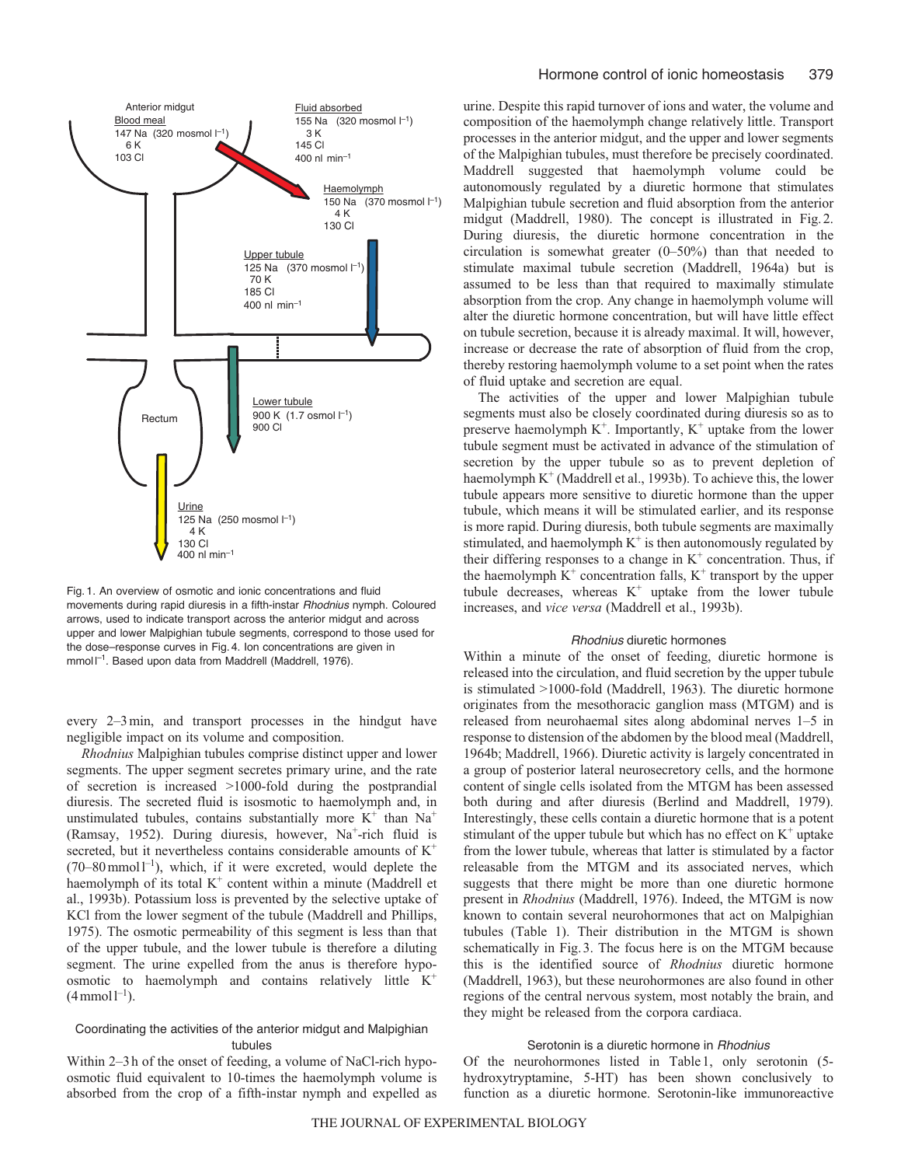

Fig. 1. An overview of osmotic and ionic concentrations and fluid movements during rapid diuresis in a fifth-instar Rhodnius nymph. Coloured arrows, used to indicate transport across the anterior midgut and across upper and lower Malpighian tubule segments, correspond to those used for the dose–response curves in Fig. 4. Ion concentrations are given in mmoll<sup>-1</sup>. Based upon data from Maddrell (Maddrell, 1976).

every 2–3min, and transport processes in the hindgut have negligible impact on its volume and composition.

*Rhodnius* Malpighian tubules comprise distinct upper and lower segments. The upper segment secretes primary urine, and the rate of secretion is increased >1000-fold during the postprandial diuresis. The secreted fluid is isosmotic to haemolymph and, in unstimulated tubules, contains substantially more  $K^+$  than  $Na^+$ (Ramsay, 1952). During diuresis, however, Na<sup>+</sup>-rich fluid is secreted, but it nevertheless contains considerable amounts of  $K^+$  $(70-80 \text{ mmol}^{-1})$ , which, if it were excreted, would deplete the haemolymph of its total  $K^+$  content within a minute (Maddrell et al., 1993b). Potassium loss is prevented by the selective uptake of KCl from the lower segment of the tubule (Maddrell and Phillips, 1975). The osmotic permeability of this segment is less than that of the upper tubule, and the lower tubule is therefore a diluting segment. The urine expelled from the anus is therefore hypoosmotic to haemolymph and contains relatively little K+  $(4 \text{mmol } 1^{-1}).$ 

## Coordinating the activities of the anterior midgut and Malpighian tubules

Within 2–3h of the onset of feeding, a volume of NaCl-rich hypoosmotic fluid equivalent to 10-times the haemolymph volume is absorbed from the crop of a fifth-instar nymph and expelled as urine. Despite this rapid turnover of ions and water, the volume and composition of the haemolymph change relatively little. Transport processes in the anterior midgut, and the upper and lower segments of the Malpighian tubules, must therefore be precisely coordinated. Maddrell suggested that haemolymph volume could be autonomously regulated by a diuretic hormone that stimulates Malpighian tubule secretion and fluid absorption from the anterior midgut (Maddrell, 1980). The concept is illustrated in Fig.2. During diuresis, the diuretic hormone concentration in the circulation is somewhat greater (0–50%) than that needed to stimulate maximal tubule secretion (Maddrell, 1964a) but is assumed to be less than that required to maximally stimulate absorption from the crop. Any change in haemolymph volume will alter the diuretic hormone concentration, but will have little effect on tubule secretion, because it is already maximal. It will, however, increase or decrease the rate of absorption of fluid from the crop, thereby restoring haemolymph volume to a set point when the rates of fluid uptake and secretion are equal.

The activities of the upper and lower Malpighian tubule segments must also be closely coordinated during diuresis so as to preserve haemolymph  $K^+$ . Importantly,  $K^+$  uptake from the lower tubule segment must be activated in advance of the stimulation of secretion by the upper tubule so as to prevent depletion of haemolymph  $K^+$  (Maddrell et al., 1993b). To achieve this, the lower tubule appears more sensitive to diuretic hormone than the upper tubule, which means it will be stimulated earlier, and its response is more rapid. During diuresis, both tubule segments are maximally stimulated, and haemolymph  $K^+$  is then autonomously regulated by their differing responses to a change in  $K^+$  concentration. Thus, if the haemolymph  $K^+$  concentration falls,  $K^+$  transport by the upper tubule decreases, whereas  $K^+$  uptake from the lower tubule increases, and *vice versa* (Maddrell et al., 1993b).

#### Rhodnius diuretic hormones

Within a minute of the onset of feeding, diuretic hormone is released into the circulation, and fluid secretion by the upper tubule is stimulated >1000-fold (Maddrell, 1963). The diuretic hormone originates from the mesothoracic ganglion mass (MTGM) and is released from neurohaemal sites along abdominal nerves 1–5 in response to distension of the abdomen by the blood meal (Maddrell, 1964b; Maddrell, 1966). Diuretic activity is largely concentrated in a group of posterior lateral neurosecretory cells, and the hormone content of single cells isolated from the MTGM has been assessed both during and after diuresis (Berlind and Maddrell, 1979). Interestingly, these cells contain a diuretic hormone that is a potent stimulant of the upper tubule but which has no effect on  $K^+$  uptake from the lower tubule, whereas that latter is stimulated by a factor releasable from the MTGM and its associated nerves, which suggests that there might be more than one diuretic hormone present in *Rhodnius* (Maddrell, 1976). Indeed, the MTGM is now known to contain several neurohormones that act on Malpighian tubules (Table 1). Their distribution in the MTGM is shown schematically in Fig.3. The focus here is on the MTGM because this is the identified source of *Rhodnius* diuretic hormone (Maddrell, 1963), but these neurohormones are also found in other regions of the central nervous system, most notably the brain, and they might be released from the corpora cardiaca.

## Serotonin is a diuretic hormone in Rhodnius

Of the neurohormones listed in Table1, only serotonin (5 hydroxytryptamine, 5-HT) has been shown conclusively to function as a diuretic hormone. Serotonin-like immunoreactive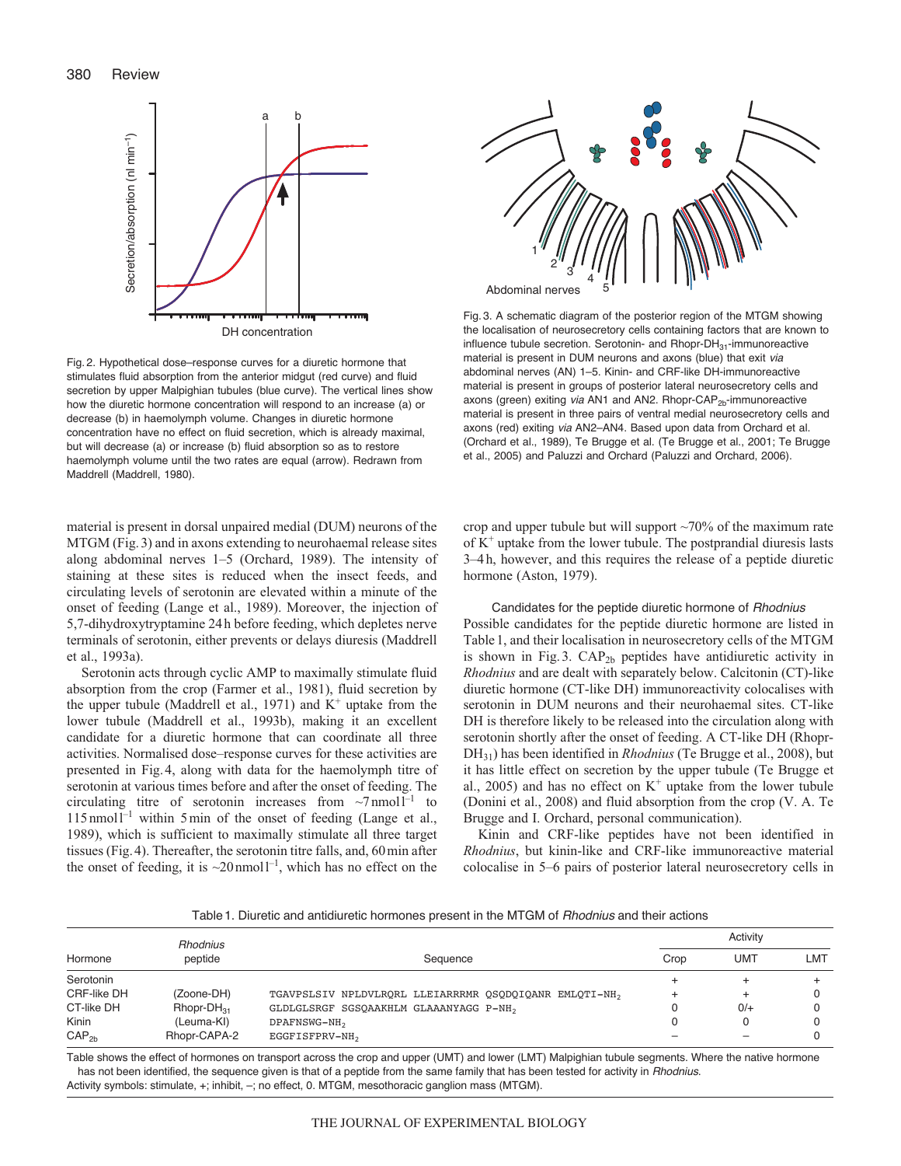

Fig. 2. Hypothetical dose–response curves for a diuretic hormone that stimulates fluid absorption from the anterior midgut (red curve) and fluid secretion by upper Malpighian tubules (blue curve). The vertical lines show how the diuretic hormone concentration will respond to an increase (a) or decrease (b) in haemolymph volume. Changes in diuretic hormone concentration have no effect on fluid secretion, which is already maximal, but will decrease (a) or increase (b) fluid absorption so as to restore haemolymph volume until the two rates are equal (arrow). Redrawn from Maddrell (Maddrell, 1980).

material is present in dorsal unpaired medial (DUM) neurons of the MTGM (Fig.3) and in axons extending to neurohaemal release sites along abdominal nerves 1–5 (Orchard, 1989). The intensity of staining at these sites is reduced when the insect feeds, and circulating levels of serotonin are elevated within a minute of the onset of feeding (Lange et al., 1989). Moreover, the injection of 5,7-dihydroxytryptamine 24h before feeding, which depletes nerve terminals of serotonin, either prevents or delays diuresis (Maddrell et al., 1993a).

Serotonin acts through cyclic AMP to maximally stimulate fluid absorption from the crop (Farmer et al., 1981), fluid secretion by the upper tubule (Maddrell et al., 1971) and  $K^+$  uptake from the lower tubule (Maddrell et al., 1993b), making it an excellent candidate for a diuretic hormone that can coordinate all three activities. Normalised dose–response curves for these activities are presented in Fig.4, along with data for the haemolymph titre of serotonin at various times before and after the onset of feeding. The circulating titre of serotonin increases from  $\sim$ 7nmoll<sup>-1</sup> to  $115$ nmoll<sup>-1</sup> within 5min of the onset of feeding (Lange et al., 1989), which is sufficient to maximally stimulate all three target tissues (Fig.4). Thereafter, the serotonin titre falls, and, 60min after the onset of feeding, it is  $\sim 20 \text{ nmol} 1^{-1}$ , which has no effect on the



Fig. 3. A schematic diagram of the posterior region of the MTGM showing the localisation of neurosecretory cells containing factors that are known to influence tubule secretion. Serotonin- and Rhopr-DH $_{31}$ -immunoreactive material is present in DUM neurons and axons (blue) that exit via abdominal nerves (AN) 1–5. Kinin- and CRF-like DH-immunoreactive material is present in groups of posterior lateral neurosecretory cells and axons (green) exiting via AN1 and AN2. Rhopr-CAP<sub>2b</sub>-immunoreactive material is present in three pairs of ventral medial neurosecretory cells and axons (red) exiting via AN2–AN4. Based upon data from Orchard et al. (Orchard et al., 1989), Te Brugge et al. (Te Brugge et al., 2001; Te Brugge et al., 2005) and Paluzzi and Orchard (Paluzzi and Orchard, 2006).

crop and upper tubule but will support  $\sim$ 70% of the maximum rate of  $K^+$  uptake from the lower tubule. The postprandial diuresis lasts 3–4h, however, and this requires the release of a peptide diuretic hormone (Aston, 1979).

Candidates for the peptide diuretic hormone of Rhodnius Possible candidates for the peptide diuretic hormone are listed in Table1, and their localisation in neurosecretory cells of the MTGM is shown in Fig.3.  $CAP<sub>2b</sub>$  peptides have antidiuretic activity in *Rhodnius* and are dealt with separately below. Calcitonin (CT)-like diuretic hormone (CT-like DH) immunoreactivity colocalises with serotonin in DUM neurons and their neurohaemal sites. CT-like DH is therefore likely to be released into the circulation along with serotonin shortly after the onset of feeding. A CT-like DH (Rhopr-DH31) has been identified in *Rhodnius* (Te Brugge et al., 2008), but it has little effect on secretion by the upper tubule (Te Brugge et al., 2005) and has no effect on  $K^+$  uptake from the lower tubule (Donini et al., 2008) and fluid absorption from the crop (V. A. Te Brugge and I. Orchard, personal communication).

Kinin and CRF-like peptides have not been identified in *Rhodnius*, but kinin-like and CRF-like immunoreactive material colocalise in 5–6 pairs of posterior lateral neurosecretory cells in

Table 1. Diuretic and antidiuretic hormones present in the MTGM of Rhodnius and their actions

| Hormone           | <b>Rhodnius</b><br>peptide |                                                        | Activity |     |     |
|-------------------|----------------------------|--------------------------------------------------------|----------|-----|-----|
|                   |                            | Sequence                                               | Crop     | UMT | LMT |
| Serotonin         |                            |                                                        |          |     |     |
| CRF-like DH       | (Zoone-DH)                 | TGAVPSLSIV NPLDVLRQRL LLEIARRRMR QSQDQIQANR EMLQTI-NH2 |          | ÷   |     |
| CT-like DH        | $Rhopr-DH31$               | GLDLGLSRGF SGSQAAKHLM GLAAANYAGG P-NH2                 |          | 0/4 |     |
| Kinin             | (Leuma-KI)                 | DPAFNSWG-NH <sub>2</sub>                               | 0        |     |     |
| CAP <sub>2h</sub> | Rhopr-CAPA-2               | EGGFISFPRV-NH <sub>2</sub>                             |          |     |     |

Table shows the effect of hormones on transport across the crop and upper (UMT) and lower (LMT) Malpighian tubule segments. Where the native hormone has not been identified, the sequence given is that of a peptide from the same family that has been tested for activity in *Rhodnius*. Activity symbols: stimulate, +; inhibit, –; no effect, 0. MTGM, mesothoracic ganglion mass (MTGM).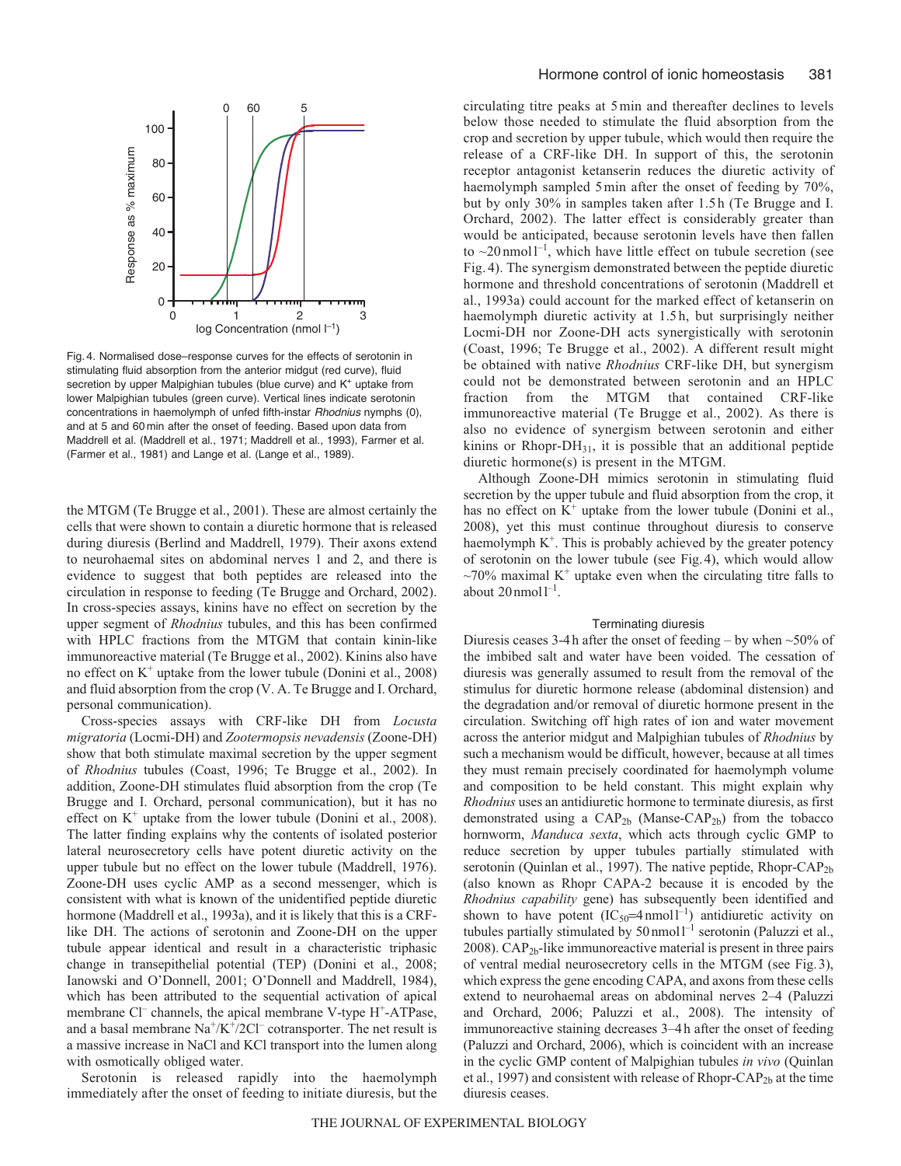

Fig. 4. Normalised dose–response curves for the effects of serotonin in stimulating fluid absorption from the anterior midgut (red curve), fluid secretion by upper Malpighian tubules (blue curve) and K<sup>+</sup> uptake from lower Malpighian tubules (green curve). Vertical lines indicate serotonin concentrations in haemolymph of unfed fifth-instar Rhodnius nymphs (0), and at 5 and 60 min after the onset of feeding. Based upon data from Maddrell et al. (Maddrell et al., 1971; Maddrell et al., 1993), Farmer et al. (Farmer et al., 1981) and Lange et al. (Lange et al., 1989).

the MTGM (Te Brugge et al., 2001). These are almost certainly the cells that were shown to contain a diuretic hormone that is released during diuresis (Berlind and Maddrell, 1979). Their axons extend to neurohaemal sites on abdominal nerves 1 and 2, and there is evidence to suggest that both peptides are released into the circulation in response to feeding (Te Brugge and Orchard, 2002). In cross-species assays, kinins have no effect on secretion by the upper segment of *Rhodnius* tubules, and this has been confirmed with HPLC fractions from the MTGM that contain kinin-like immunoreactive material (Te Brugge et al., 2002). Kinins also have no effect on  $K^+$  uptake from the lower tubule (Donini et al., 2008) and fluid absorption from the crop (V. A. Te Brugge and I. Orchard, personal communication).

Cross-species assays with CRF-like DH from *Locusta migratoria* (Locmi-DH) and *Zootermopsis nevadensis* (Zoone-DH) show that both stimulate maximal secretion by the upper segment of *Rhodnius* tubules (Coast, 1996; Te Brugge et al., 2002). In addition, Zoone-DH stimulates fluid absorption from the crop (Te Brugge and I. Orchard, personal communication), but it has no effect on  $K^+$  uptake from the lower tubule (Donini et al., 2008). The latter finding explains why the contents of isolated posterior lateral neurosecretory cells have potent diuretic activity on the upper tubule but no effect on the lower tubule (Maddrell, 1976). Zoone-DH uses cyclic AMP as a second messenger, which is consistent with what is known of the unidentified peptide diuretic hormone (Maddrell et al., 1993a), and it is likely that this is a CRFlike DH. The actions of serotonin and Zoone-DH on the upper tubule appear identical and result in a characteristic triphasic change in transepithelial potential (TEP) (Donini et al., 2008; Ianowski and O'Donnell, 2001; O'Donnell and Maddrell, 1984), which has been attributed to the sequential activation of apical membrane  $Cl^-$  channels, the apical membrane V-type  $H^+$ -ATPase, and a basal membrane  $\text{Na}^{\dagger}/\text{K}^{\dagger}/2\text{Cl}^-$  cotransporter. The net result is a massive increase in NaCl and KCl transport into the lumen along with osmotically obliged water.

Serotonin is released rapidly into the haemolymph immediately after the onset of feeding to initiate diuresis, but the circulating titre peaks at 5min and thereafter declines to levels below those needed to stimulate the fluid absorption from the crop and secretion by upper tubule, which would then require the release of a CRF-like DH. In support of this, the serotonin receptor antagonist ketanserin reduces the diuretic activity of haemolymph sampled 5min after the onset of feeding by 70%, but by only 30% in samples taken after 1.5h (Te Brugge and I. Orchard, 2002). The latter effect is considerably greater than would be anticipated, because serotonin levels have then fallen to  $\sim$ 20 nmol<sup>1-1</sup>, which have little effect on tubule secretion (see Fig.4). The synergism demonstrated between the peptide diuretic hormone and threshold concentrations of serotonin (Maddrell et al., 1993a) could account for the marked effect of ketanserin on haemolymph diuretic activity at 1.5h, but surprisingly neither Locmi-DH nor Zoone-DH acts synergistically with serotonin (Coast, 1996; Te Brugge et al., 2002). A different result might be obtained with native *Rhodnius* CRF-like DH, but synergism could not be demonstrated between serotonin and an HPLC fraction from the MTGM that contained CRF-like immunoreactive material (Te Brugge et al., 2002). As there is also no evidence of synergism between serotonin and either kinins or Rhopr-D $H_{31}$ , it is possible that an additional peptide diuretic hormone(s) is present in the MTGM.

Although Zoone-DH mimics serotonin in stimulating fluid secretion by the upper tubule and fluid absorption from the crop, it has no effect on  $K^+$  uptake from the lower tubule (Donini et al., 2008), yet this must continue throughout diuresis to conserve haemolymph  $K^+$ . This is probably achieved by the greater potency of serotonin on the lower tubule (see Fig.4), which would allow  $\sim$ 70% maximal K<sup>+</sup> uptake even when the circulating titre falls to about  $20$  nmoll<sup>-1</sup>.

#### Terminating diuresis

Diuresis ceases 3-4h after the onset of feeding – by when  $\sim$  50% of the imbibed salt and water have been voided. The cessation of diuresis was generally assumed to result from the removal of the stimulus for diuretic hormone release (abdominal distension) and the degradation and/or removal of diuretic hormone present in the circulation. Switching off high rates of ion and water movement across the anterior midgut and Malpighian tubules of *Rhodnius* by such a mechanism would be difficult, however, because at all times they must remain precisely coordinated for haemolymph volume and composition to be held constant. This might explain why *Rhodnius* uses an antidiuretic hormone to terminate diuresis, as first demonstrated using a CAP2b (Manse-CAP2b) from the tobacco hornworm, *Manduca sexta*, which acts through cyclic GMP to reduce secretion by upper tubules partially stimulated with serotonin (Quinlan et al., 1997). The native peptide, Rhopr-CAP<sub>2b</sub> (also known as Rhopr CAPA-2 because it is encoded by the *Rhodnius capability* gene) has subsequently been identified and shown to have potent  $(IC_{50}=4$  nmoll<sup>-1</sup>) antidiuretic activity on tubules partially stimulated by  $50$  nmoll<sup>-1</sup> serotonin (Paluzzi et al., 2008). CAP<sub>2b</sub>-like immunoreactive material is present in three pairs of ventral medial neurosecretory cells in the MTGM (see Fig.3), which express the gene encoding CAPA, and axons from these cells extend to neurohaemal areas on abdominal nerves 2–4 (Paluzzi and Orchard, 2006; Paluzzi et al., 2008). The intensity of immunoreactive staining decreases 3–4h after the onset of feeding (Paluzzi and Orchard, 2006), which is coincident with an increase in the cyclic GMP content of Malpighian tubules *in vivo* (Quinlan et al., 1997) and consistent with release of Rhopr-CAP<sub>2b</sub> at the time diuresis ceases.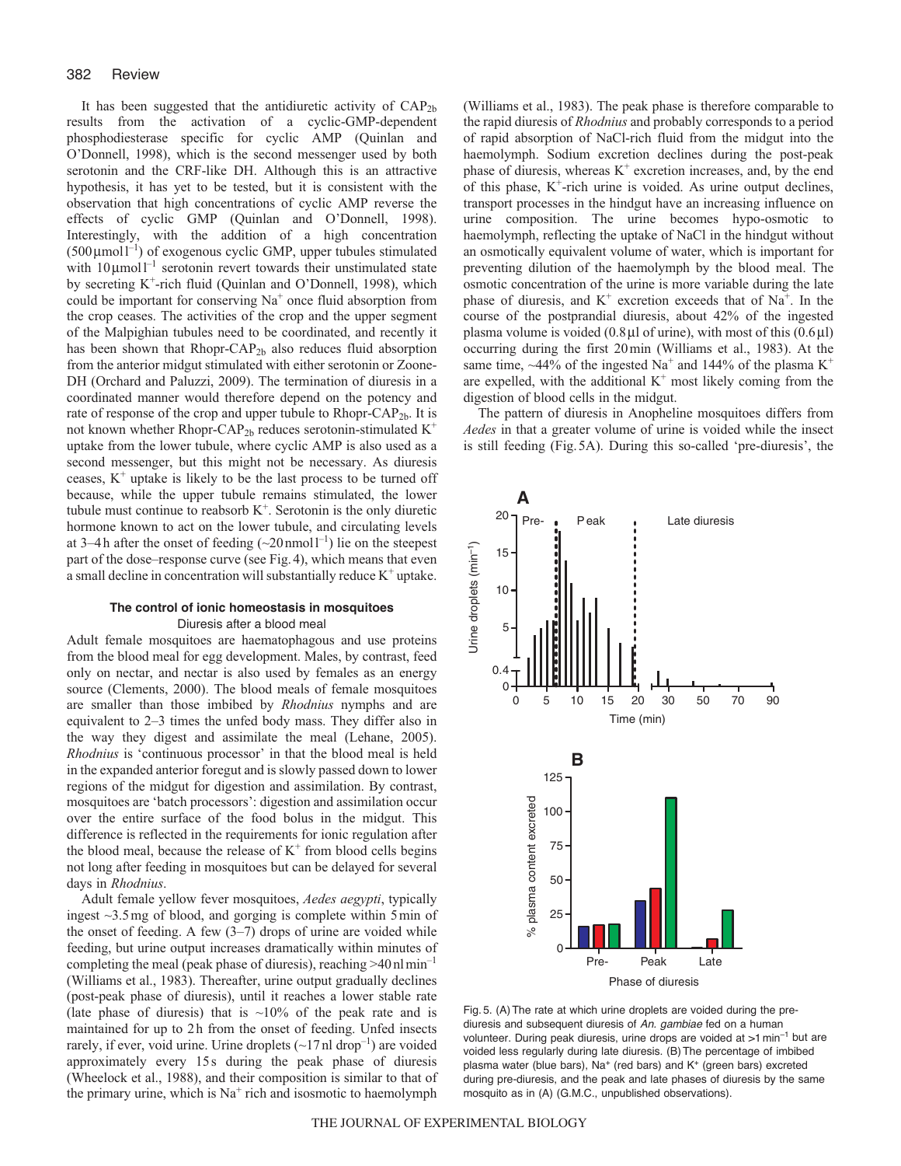It has been suggested that the antidiuretic activity of  $CAP<sub>2b</sub>$ results from the activation of a cyclic-GMP-dependent phosphodiesterase specific for cyclic AMP (Quinlan and O'Donnell, 1998), which is the second messenger used by both serotonin and the CRF-like DH. Although this is an attractive hypothesis, it has yet to be tested, but it is consistent with the observation that high concentrations of cyclic AMP reverse the effects of cyclic GMP (Quinlan and O'Donnell, 1998). Interestingly, with the addition of a high concentration  $(500 \,\mu\text{mol}^{-1})$  of exogenous cyclic GMP, upper tubules stimulated with  $10 \mu$ moll<sup>-1</sup> serotonin revert towards their unstimulated state by secreting  $K^+$ -rich fluid (Quinlan and O'Donnell, 1998), which could be important for conserving  $Na<sup>+</sup>$  once fluid absorption from the crop ceases. The activities of the crop and the upper segment of the Malpighian tubules need to be coordinated, and recently it has been shown that Rhopr-CAP<sub>2b</sub> also reduces fluid absorption from the anterior midgut stimulated with either serotonin or Zoone-DH (Orchard and Paluzzi, 2009). The termination of diuresis in a coordinated manner would therefore depend on the potency and rate of response of the crop and upper tubule to  $Rhopr-CAP_{2b}$ . It is not known whether Rhopr-CAP<sub>2b</sub> reduces serotonin-stimulated  $K^+$ uptake from the lower tubule, where cyclic AMP is also used as a second messenger, but this might not be necessary. As diuresis ceases,  $K^+$  uptake is likely to be the last process to be turned off because, while the upper tubule remains stimulated, the lower tubule must continue to reabsorb  $K^+$ . Serotonin is the only diuretic hormone known to act on the lower tubule, and circulating levels at 3–4h after the onset of feeding  $(\sim 20 \text{ nmol} l^{-1})$  lie on the steepest part of the dose–response curve (see Fig.4), which means that even a small decline in concentration will substantially reduce  $K^+$  uptake.

### **The control of ionic homeostasis in mosquitoes** Diuresis after a blood meal

Adult female mosquitoes are haematophagous and use proteins from the blood meal for egg development. Males, by contrast, feed only on nectar, and nectar is also used by females as an energy source (Clements, 2000). The blood meals of female mosquitoes are smaller than those imbibed by *Rhodnius* nymphs and are equivalent to 2–3 times the unfed body mass. They differ also in the way they digest and assimilate the meal (Lehane, 2005). *Rhodnius* is 'continuous processor' in that the blood meal is held in the expanded anterior foregut and is slowly passed down to lower regions of the midgut for digestion and assimilation. By contrast, mosquitoes are 'batch processors': digestion and assimilation occur over the entire surface of the food bolus in the midgut. This difference is reflected in the requirements for ionic regulation after the blood meal, because the release of  $K^+$  from blood cells begins not long after feeding in mosquitoes but can be delayed for several days in *Rhodnius*.

Adult female yellow fever mosquitoes, *Aedes aegypti*, typically ingest ~3.5mg of blood, and gorging is complete within 5min of the onset of feeding. A few  $(3-7)$  drops of urine are voided while feeding, but urine output increases dramatically within minutes of completing the meal (peak phase of diuresis), reaching  $>40$  nlmin<sup>-1</sup> (Williams et al., 1983). Thereafter, urine output gradually declines (post-peak phase of diuresis), until it reaches a lower stable rate (late phase of diuresis) that is  $\sim 10\%$  of the peak rate and is maintained for up to 2h from the onset of feeding. Unfed insects rarely, if ever, void urine. Urine droplets  $(\sim 17 \text{ nl drop}^{-1})$  are voided approximately every 15s during the peak phase of diuresis (Wheelock et al., 1988), and their composition is similar to that of the primary urine, which is  $Na<sup>+</sup>$  rich and isosmotic to haemolymph (Williams et al., 1983). The peak phase is therefore comparable to the rapid diuresis of *Rhodnius* and probably corresponds to a period of rapid absorption of NaCl-rich fluid from the midgut into the haemolymph. Sodium excretion declines during the post-peak phase of diuresis, whereas  $K^+$  excretion increases, and, by the end of this phase,  $K^+$ -rich urine is voided. As urine output declines, transport processes in the hindgut have an increasing influence on urine composition. The urine becomes hypo-osmotic to haemolymph, reflecting the uptake of NaCl in the hindgut without an osmotically equivalent volume of water, which is important for preventing dilution of the haemolymph by the blood meal. The osmotic concentration of the urine is more variable during the late phase of diuresis, and  $K^+$  excretion exceeds that of Na<sup>+</sup>. In the course of the postprandial diuresis, about 42% of the ingested plasma volume is voided (0.8  $\mu$ l of urine), with most of this (0.6 $\mu$ l) occurring during the first 20min (Williams et al., 1983). At the same time,  $\sim$ 44% of the ingested Na<sup>+</sup> and 144% of the plasma K<sup>+</sup> are expelled, with the additional  $K^+$  most likely coming from the digestion of blood cells in the midgut.

The pattern of diuresis in Anopheline mosquitoes differs from *Aedes* in that a greater volume of urine is voided while the insect is still feeding (Fig.5A). During this so-called 'pre-diuresis', the



Fig. 5. (A) The rate at which urine droplets are voided during the prediuresis and subsequent diuresis of An. gambiae fed on a human volunteer. During peak diuresis, urine drops are voided at >1 min<sup>-1</sup> but are voided less regularly during late diuresis. (B) The percentage of imbibed plasma water (blue bars),  $Na<sup>+</sup>$  (red bars) and  $K<sup>+</sup>$  (green bars) excreted during pre-diuresis, and the peak and late phases of diuresis by the same mosquito as in (A) (G.M.C., unpublished observations).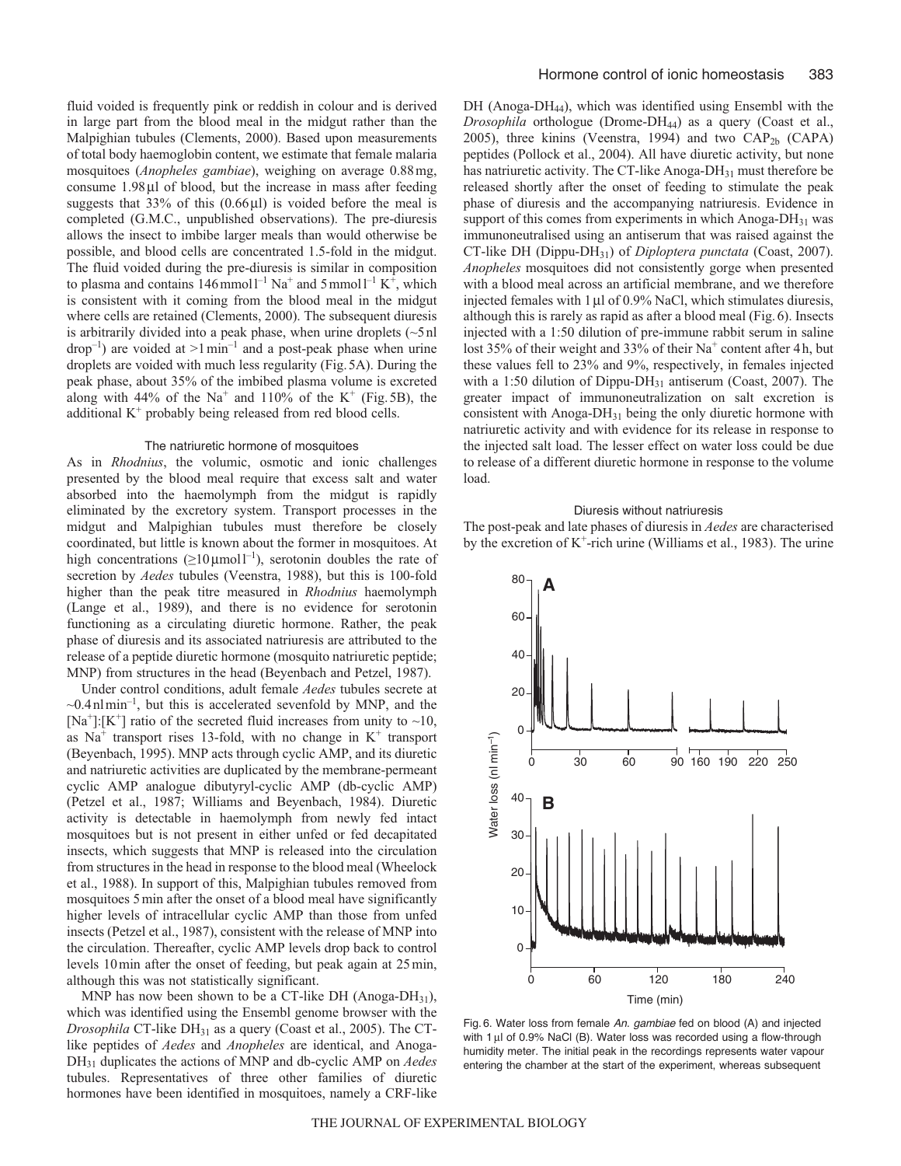fluid voided is frequently pink or reddish in colour and is derived in large part from the blood meal in the midgut rather than the Malpighian tubules (Clements, 2000). Based upon measurements of total body haemoglobin content, we estimate that female malaria mosquitoes (*Anopheles gambiae*), weighing on average 0.88mg, consume 1.98μl of blood, but the increase in mass after feeding suggests that 33% of this (0.66μl) is voided before the meal is completed (G.M.C., unpublished observations). The pre-diuresis allows the insect to imbibe larger meals than would otherwise be possible, and blood cells are concentrated 1.5-fold in the midgut. The fluid voided during the pre-diuresis is similar in composition to plasma and contains  $146$  mmoll<sup>-1</sup> Na<sup>+</sup> and 5 mmoll<sup>-1</sup> K<sup>+</sup>, which is consistent with it coming from the blood meal in the midgut where cells are retained (Clements, 2000). The subsequent diuresis is arbitrarily divided into a peak phase, when urine droplets (~5nl  $drop^{-1}$ ) are voided at  $>1$  min<sup>-1</sup> and a post-peak phase when urine droplets are voided with much less regularity (Fig.5A). During the peak phase, about 35% of the imbibed plasma volume is excreted along with 44% of the  $Na<sup>+</sup>$  and 110% of the K<sup>+</sup> (Fig.5B), the additional K+ probably being released from red blood cells.

#### The natriuretic hormone of mosquitoes

As in *Rhodnius*, the volumic, osmotic and ionic challenges presented by the blood meal require that excess salt and water absorbed into the haemolymph from the midgut is rapidly eliminated by the excretory system. Transport processes in the midgut and Malpighian tubules must therefore be closely coordinated, but little is known about the former in mosquitoes. At high concentrations ( $\geq 10 \mu$ moll<sup>-1</sup>), serotonin doubles the rate of secretion by *Aedes* tubules (Veenstra, 1988), but this is 100-fold higher than the peak titre measured in *Rhodnius* haemolymph (Lange et al., 1989), and there is no evidence for serotonin functioning as a circulating diuretic hormone. Rather, the peak phase of diuresis and its associated natriuresis are attributed to the release of a peptide diuretic hormone (mosquito natriuretic peptide; MNP) from structures in the head (Beyenbach and Petzel, 1987).

Under control conditions, adult female *Aedes* tubules secrete at  $\sim$ 0.4nlmin<sup>-1</sup>, but this is accelerated sevenfold by MNP, and the [Na<sup>+</sup>]:[K<sup>+</sup>] ratio of the secreted fluid increases from unity to ~10, as  $Na<sup>+</sup>$  transport rises 13-fold, with no change in  $K<sup>+</sup>$  transport (Beyenbach, 1995). MNP acts through cyclic AMP, and its diuretic and natriuretic activities are duplicated by the membrane-permeant cyclic AMP analogue dibutyryl-cyclic AMP (db-cyclic AMP) (Petzel et al., 1987; Williams and Beyenbach, 1984). Diuretic activity is detectable in haemolymph from newly fed intact mosquitoes but is not present in either unfed or fed decapitated insects, which suggests that MNP is released into the circulation from structures in the head in response to the blood meal (Wheelock et al., 1988). In support of this, Malpighian tubules removed from mosquitoes 5min after the onset of a blood meal have significantly higher levels of intracellular cyclic AMP than those from unfed insects (Petzel et al., 1987), consistent with the release of MNP into the circulation. Thereafter, cyclic AMP levels drop back to control levels 10min after the onset of feeding, but peak again at 25min, although this was not statistically significant.

MNP has now been shown to be a CT-like DH (Anoga-DH $_{31}$ ), which was identified using the Ensembl genome browser with the *Drosophila* CT-like DH<sub>31</sub> as a query (Coast et al., 2005). The CTlike peptides of *Aedes* and *Anopheles* are identical, and Anoga-DH31 duplicates the actions of MNP and db-cyclic AMP on *Aedes* tubules. Representatives of three other families of diuretic hormones have been identified in mosquitoes, namely a CRF-like DH (Anoga-DH<sub>44</sub>), which was identified using Ensembl with the *Drosophila* orthologue (Drome-DH44) as a query (Coast et al., 2005), three kinins (Veenstra, 1994) and two CAP2b (CAPA) peptides (Pollock et al., 2004). All have diuretic activity, but none has natriuretic activity. The CT-like Anoga- $DH_{31}$  must therefore be released shortly after the onset of feeding to stimulate the peak phase of diuresis and the accompanying natriuresis. Evidence in support of this comes from experiments in which Anoga- $DH_{31}$  was immunoneutralised using an antiserum that was raised against the CT-like DH (Dippu-DH31) of *Diploptera punctata* (Coast, 2007). *Anopheles* mosquitoes did not consistently gorge when presented with a blood meal across an artificial membrane, and we therefore injected females with 1μl of 0.9% NaCl, which stimulates diuresis, although this is rarely as rapid as after a blood meal (Fig.6). Insects injected with a 1:50 dilution of pre-immune rabbit serum in saline lost 35% of their weight and 33% of their  $Na<sup>+</sup>$  content after 4h, but these values fell to 23% and 9%, respectively, in females injected with a 1:50 dilution of Dippu-DH $_{31}$  antiserum (Coast, 2007). The greater impact of immunoneutralization on salt excretion is consistent with Anoga-DH<sub>31</sub> being the only diuretic hormone with natriuretic activity and with evidence for its release in response to the injected salt load. The lesser effect on water loss could be due to release of a different diuretic hormone in response to the volume load.



The post-peak and late phases of diuresis in *Aedes* are characterised by the excretion of  $K^+$ -rich urine (Williams et al., 1983). The urine



Fig. 6. Water loss from female An. gambiae fed on blood (A) and injected with 1 μl of 0.9% NaCl (B). Water loss was recorded using a flow-through humidity meter. The initial peak in the recordings represents water vapour entering the chamber at the start of the experiment, whereas subsequent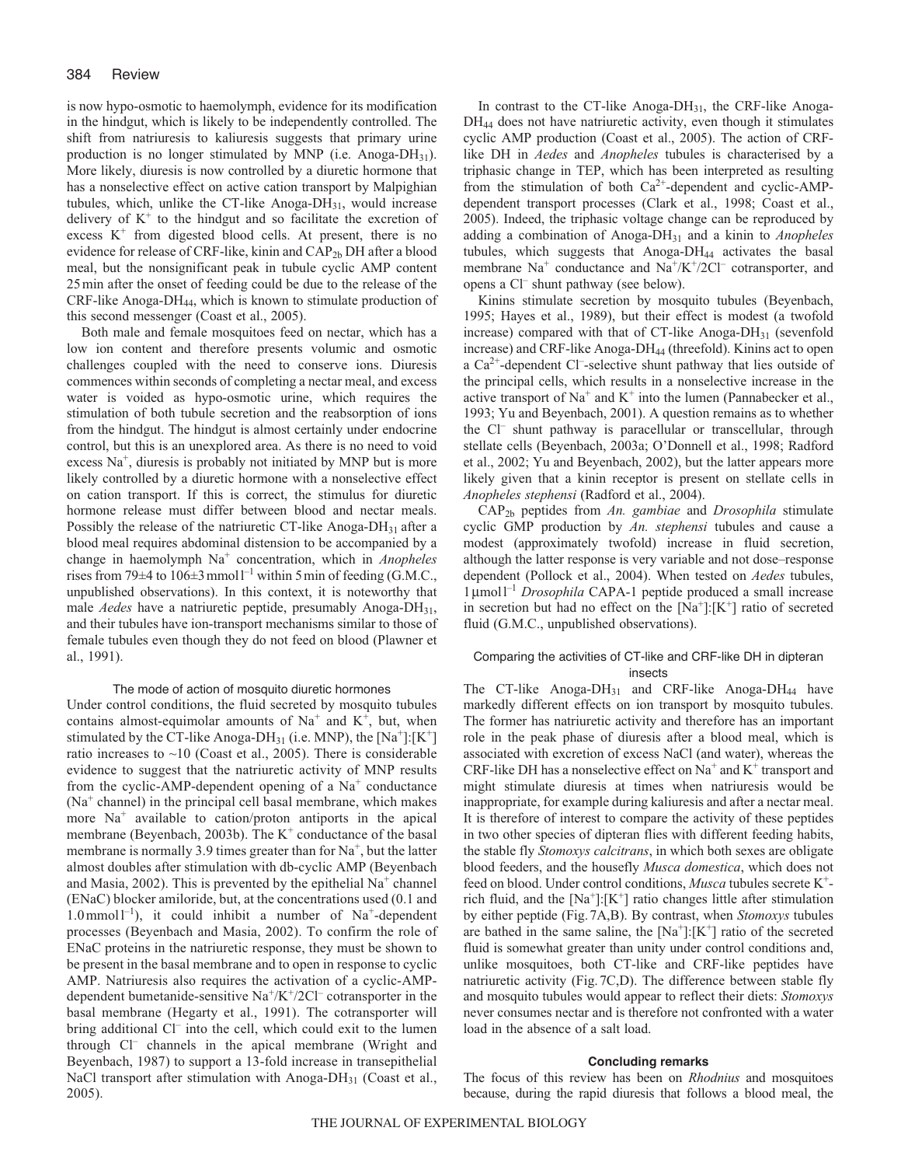is now hypo-osmotic to haemolymph, evidence for its modification in the hindgut, which is likely to be independently controlled. The shift from natriuresis to kaliuresis suggests that primary urine production is no longer stimulated by MNP (i.e. Anoga-DH $_{31}$ ). More likely, diuresis is now controlled by a diuretic hormone that has a nonselective effect on active cation transport by Malpighian tubules, which, unlike the CT-like Anoga- $DH_{31}$ , would increase delivery of  $K^+$  to the hindgut and so facilitate the excretion of excess  $K^+$  from digested blood cells. At present, there is no evidence for release of CRF-like, kinin and  $CAP_{2b}$  DH after a blood meal, but the nonsignificant peak in tubule cyclic AMP content 25min after the onset of feeding could be due to the release of the CRF-like Anoga-DH44, which is known to stimulate production of this second messenger (Coast et al., 2005).

Both male and female mosquitoes feed on nectar, which has a low ion content and therefore presents volumic and osmotic challenges coupled with the need to conserve ions. Diuresis commences within seconds of completing a nectar meal, and excess water is voided as hypo-osmotic urine, which requires the stimulation of both tubule secretion and the reabsorption of ions from the hindgut. The hindgut is almost certainly under endocrine control, but this is an unexplored area. As there is no need to void excess Na<sup>+</sup>, diuresis is probably not initiated by MNP but is more likely controlled by a diuretic hormone with a nonselective effect on cation transport. If this is correct, the stimulus for diuretic hormone release must differ between blood and nectar meals. Possibly the release of the natriuretic CT-like Anoga-DH<sub>31</sub> after a blood meal requires abdominal distension to be accompanied by a change in haemolymph Na+ concentration, which in *Anopheles* rises from 79 $\pm$ 4 to 106 $\pm$ 3 mmoll<sup>-1</sup> within 5 min of feeding (G.M.C., unpublished observations). In this context, it is noteworthy that male *Aedes* have a natriuretic peptide, presumably Anoga-DH<sub>31</sub>, and their tubules have ion-transport mechanisms similar to those of female tubules even though they do not feed on blood (Plawner et al., 1991).

## The mode of action of mosquito diuretic hormones

Under control conditions, the fluid secreted by mosquito tubules contains almost-equimolar amounts of  $Na<sup>+</sup>$  and  $K<sup>+</sup>$ , but, when stimulated by the CT-like Anoga-DH<sub>31</sub> (i.e. MNP), the  $[Na^+]$ :  $[K^+]$ ratio increases to  $~10$  (Coast et al., 2005). There is considerable evidence to suggest that the natriuretic activity of MNP results from the cyclic-AMP-dependent opening of a  $Na<sup>+</sup>$  conductance  $(Na<sup>+</sup> channel)$  in the principal cell basal membrane, which makes more Na<sup>+</sup> available to cation/proton antiports in the apical membrane (Beyenbach, 2003b). The  $K^+$  conductance of the basal membrane is normally 3.9 times greater than for  $Na<sup>+</sup>$ , but the latter almost doubles after stimulation with db-cyclic AMP (Beyenbach and Masia, 2002). This is prevented by the epithelial  $Na<sup>+</sup>$  channel (ENaC) blocker amiloride, but, at the concentrations used (0.1 and  $1.0 \text{ mmol}^{-1}$ , it could inhibit a number of Na<sup>+</sup>-dependent processes (Beyenbach and Masia, 2002). To confirm the role of ENaC proteins in the natriuretic response, they must be shown to be present in the basal membrane and to open in response to cyclic AMP. Natriuresis also requires the activation of a cyclic-AMPdependent bumetanide-sensitive  $Na^+/K^+/2Cl^-$  cotransporter in the basal membrane (Hegarty et al., 1991). The cotransporter will bring additional Cl<sup>-</sup> into the cell, which could exit to the lumen through Cl– channels in the apical membrane (Wright and Beyenbach, 1987) to support a 13-fold increase in transepithelial NaCl transport after stimulation with Anoga-DH<sub>31</sub> (Coast et al., 2005).

In contrast to the CT-like Anoga-DH<sub>31</sub>, the CRF-like Anoga-DH44 does not have natriuretic activity, even though it stimulates cyclic AMP production (Coast et al., 2005). The action of CRFlike DH in *Aedes* and *Anopheles* tubules is characterised by a triphasic change in TEP, which has been interpreted as resulting from the stimulation of both  $Ca^{2+}$ -dependent and cyclic-AMPdependent transport processes (Clark et al., 1998; Coast et al., 2005). Indeed, the triphasic voltage change can be reproduced by adding a combination of Anoga-DH31 and a kinin to *Anopheles* tubules, which suggests that Anoga-DH<sub>44</sub> activates the basal membrane  $Na<sup>+</sup>$  conductance and  $Na<sup>+/</sup>K<sup>+/</sup>/2Cl<sup>-</sup>$  cotransporter, and opens a Cl– shunt pathway (see below).

Kinins stimulate secretion by mosquito tubules (Beyenbach, 1995; Hayes et al., 1989), but their effect is modest (a twofold increase) compared with that of CT-like Anoga-DH $_{31}$  (sevenfold increase) and CRF-like Anoga-DH<sub>44</sub> (threefold). Kinins act to open a Ca<sup>2+</sup>-dependent Cl<sup>-</sup>-selective shunt pathway that lies outside of the principal cells, which results in a nonselective increase in the active transport of  $Na^+$  and  $K^+$  into the lumen (Pannabecker et al., 1993; Yu and Beyenbach, 2001). A question remains as to whether the Cl– shunt pathway is paracellular or transcellular, through stellate cells (Beyenbach, 2003a; O'Donnell et al., 1998; Radford et al., 2002; Yu and Beyenbach, 2002), but the latter appears more likely given that a kinin receptor is present on stellate cells in *Anopheles stephensi* (Radford et al., 2004).

CAP2b peptides from *An. gambiae* and *Drosophila* stimulate cyclic GMP production by *An. stephensi* tubules and cause a modest (approximately twofold) increase in fluid secretion, although the latter response is very variable and not dose–response dependent (Pollock et al., 2004). When tested on *Aedes* tubules, 1μmoll–1 *Drosophila* CAPA-1 peptide produced a small increase in secretion but had no effect on the  $[Na^+]$ :  $[K^+]$  ratio of secreted fluid (G.M.C., unpublished observations).

## Comparing the activities of CT-like and CRF-like DH in dipteran insects

The CT-like Anoga-DH<sub>31</sub> and CRF-like Anoga-DH<sub>44</sub> have markedly different effects on ion transport by mosquito tubules. The former has natriuretic activity and therefore has an important role in the peak phase of diuresis after a blood meal, which is associated with excretion of excess NaCl (and water), whereas the CRF-like DH has a nonselective effect on  $Na^+$  and  $K^+$  transport and might stimulate diuresis at times when natriuresis would be inappropriate, for example during kaliuresis and after a nectar meal. It is therefore of interest to compare the activity of these peptides in two other species of dipteran flies with different feeding habits, the stable fly *Stomoxys calcitrans*, in which both sexes are obligate blood feeders, and the housefly *Musca domestica*, which does not feed on blood. Under control conditions, *Musca* tubules secrete K+ rich fluid, and the  $[Na^+]$ :  $[K^+]$  ratio changes little after stimulation by either peptide (Fig.7A,B). By contrast, when *Stomoxys* tubules are bathed in the same saline, the  $[Na^+]$ :  $[K^+]$  ratio of the secreted fluid is somewhat greater than unity under control conditions and, unlike mosquitoes, both CT-like and CRF-like peptides have natriuretic activity (Fig.7C,D). The difference between stable fly and mosquito tubules would appear to reflect their diets: *Stomoxys* never consumes nectar and is therefore not confronted with a water load in the absence of a salt load.

#### **Concluding remarks**

The focus of this review has been on *Rhodnius* and mosquitoes because, during the rapid diuresis that follows a blood meal, the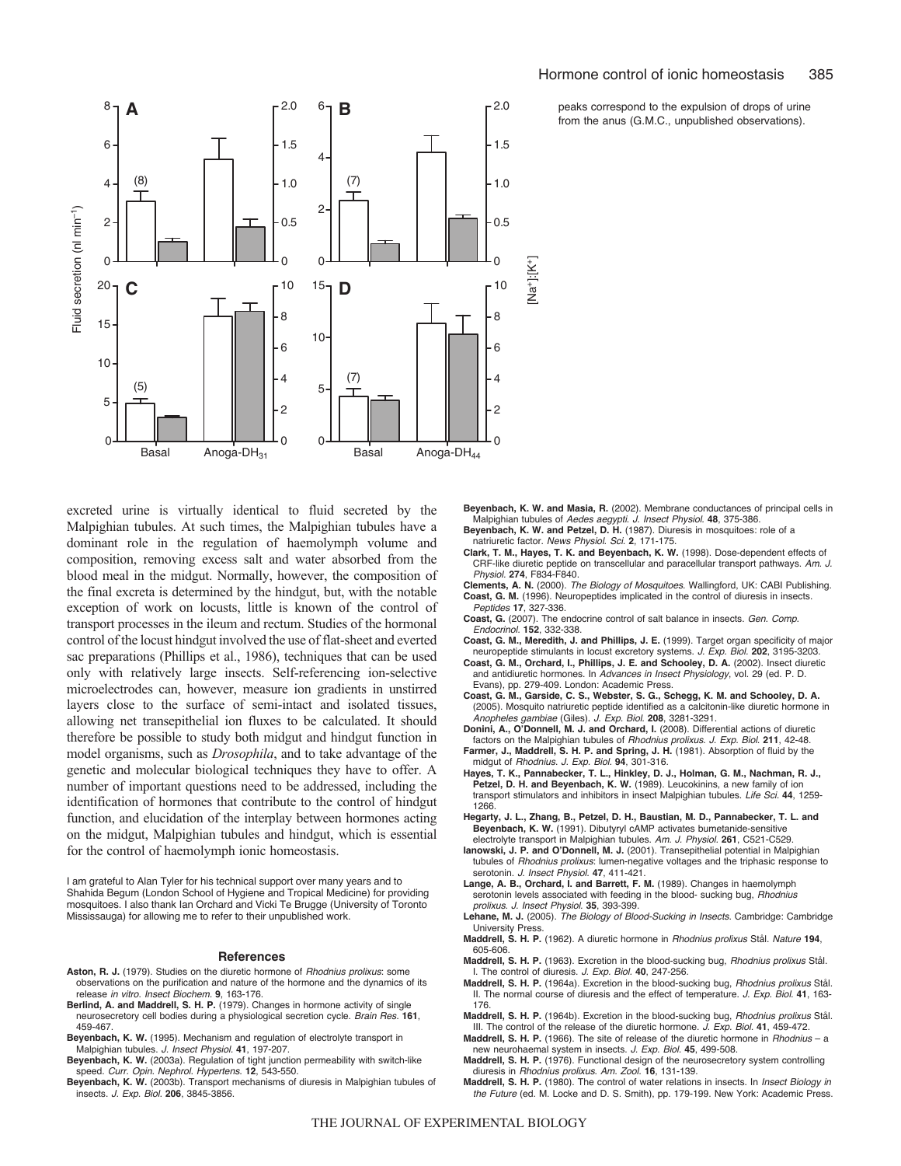



excreted urine is virtually identical to fluid secreted by the Malpighian tubules. At such times, the Malpighian tubules have a dominant role in the regulation of haemolymph volume and composition, removing excess salt and water absorbed from the blood meal in the midgut. Normally, however, the composition of the final excreta is determined by the hindgut, but, with the notable exception of work on locusts, little is known of the control of transport processes in the ileum and rectum. Studies of the hormonal control of the locust hindgut involved the use of flat-sheet and everted sac preparations (Phillips et al., 1986), techniques that can be used only with relatively large insects. Self-referencing ion-selective microelectrodes can, however, measure ion gradients in unstirred layers close to the surface of semi-intact and isolated tissues, allowing net transepithelial ion fluxes to be calculated. It should therefore be possible to study both midgut and hindgut function in model organisms, such as *Drosophila*, and to take advantage of the genetic and molecular biological techniques they have to offer. A number of important questions need to be addressed, including the identification of hormones that contribute to the control of hindgut function, and elucidation of the interplay between hormones acting on the midgut, Malpighian tubules and hindgut, which is essential for the control of haemolymph ionic homeostasis.

I am grateful to Alan Tyler for his technical support over many years and to Shahida Begum (London School of Hygiene and Tropical Medicine) for providing mosquitoes. I also thank Ian Orchard and Vicki Te Brugge (University of Toronto Mississauga) for allowing me to refer to their unpublished work.

#### **References**

- Aston, R. J. (1979). Studies on the diuretic hormone of *Rhodnius prolixus*: some observations on the purification and nature of the hormone and the dynamics of its release in vitro. Insect Biochem. **9**, 163-176.
- **Berlind, A. and Maddrell, S. H. P.** (1979). Changes in hormone activity of single neurosecretory cell bodies during a physiological secretion cycle. Brain Res. **161**, 459-467.
- **Beyenbach, K. W.** (1995). Mechanism and regulation of electrolyte transport in Malpighian tubules. J. Insect Physiol. **41**, 197-207.
- **Beyenbach, K. W.** (2003a). Regulation of tight junction permeability with switch-like speed. Curr. Opin. Nephrol. Hypertens. **12**, 543-550.
- **Beyenbach, K. W.** (2003b). Transport mechanisms of diuresis in Malpighian tubules of insects. J. Exp. Biol. **206**, 3845-3856.

**Beyenbach, K. W. and Masia, R.** (2002). Membrane conductances of principal cells in Malpighian tubules of Aedes aegypti. J. Insect Physiol. **48**, 375-386. **Beyenbach, K. W. and Petzel, D. H.** (1987). Diuresis in mosquitoes: role of a

- natriuretic factor. News Physiol. Sci. **2**, 171-175.
- **Clark, T. M., Hayes, T. K. and Beyenbach, K. W.** (1998). Dose-dependent effects of CRF-like diuretic peptide on transcellular and paracellular transport pathways. Am. J. Physiol. **274**, F834-F840.
- **Clements, A. N.** (2000). The Biology of Mosquitoes. Wallingford, UK: CABI Publishing. **Coast, G. M.** (1996). Neuropeptides implicated in the control of diuresis in insects.
- Peptides **17**, 327-336.
- **Coast, G.** (2007). The endocrine control of salt balance in insects. Gen. Comp. Endocrinol. **152**, 332-338.
- **Coast, G. M., Meredith, J. and Phillips, J. E.** (1999). Target organ specificity of major neuropeptide stimulants in locust excretory systems. J. Exp. Biol. **202**, 3195-3203.
- **Coast, G. M., Orchard, I., Phillips, J. E. and Schooley, D. A.** (2002). Insect diuretic and antidiuretic hormones. In Advances in Insect Physiology, vol. 29 (ed. P. D. Evans), pp. 279-409. London: Academic Press.
- **Coast, G. M., Garside, C. S., Webster, S. G., Schegg, K. M. and Schooley, D. A.** (2005). Mosquito natriuretic peptide identified as a calcitonin-like diuretic hormone in Anopheles gambiae (Giles). J. Exp. Biol. **208**, 3281-3291.
- **Donini, A., O'Donnell, M. J. and Orchard, I.** (2008). Differential actions of diuretic factors on the Malpighian tubules of Rhodnius prolixus. J. Exp. Biol. **211**, 42-48.
- **Farmer, J., Maddrell, S. H. P. and Spring, J. H.** (1981). Absorption of fluid by the midgut of Rhodnius. J. Exp. Biol. **94**, 301-316.
- **Hayes, T. K., Pannabecker, T. L., Hinkley, D. J., Holman, G. M., Nachman, R. J., Petzel, D. H. and Beyenbach, K. W.** (1989). Leucokinins, a new family of ion transport stimulators and inhibitors in insect Malpighian tubules. Life Sci. **44**, 1259- 1266.
- **Hegarty, J. L., Zhang, B., Petzel, D. H., Baustian, M. D., Pannabecker, T. L. and Beyenbach, K. W.** (1991). Dibutyryl cAMP activates bumetanide-sensitive electrolyte transport in Malpighian tubules. Am. J. Physiol. **261**, C521-C529.
- **Ianowski, J. P. and O'Donnell, M. J.** (2001). Transepithelial potential in Malpighian tubules of Rhodnius prolixus: lumen-negative voltages and the triphasic response to serotonin. J. Insect Physiol. **47**, 411-421.
- **Lange, A. B., Orchard, I. and Barrett, F. M.** (1989). Changes in haemolymph serotonin levels associated with feeding in the blood- sucking bug, Rhodnius prolixus. J. Insect Physiol. **35**, 393-399.
- **Lehane, M. J.** (2005). The Biology of Blood-Sucking in Insects. Cambridge: Cambridge University Press.
- **Maddrell, S. H. P.** (1962). A diuretic hormone in Rhodnius prolixus Stål. Nature **194**, 605-606.
- **Maddrell, S. H. P.** (1963). Excretion in the blood-sucking bug, Rhodnius prolixus Stål. I. The control of diuresis. J. Exp. Biol. **40**, 247-256.
- **Maddrell, S. H. P.** (1964a). Excretion in the blood-sucking bug, Rhodnius prolixus Stål. II. The normal course of diuresis and the effect of temperature. J. Exp. Biol. **41**, 163- 176.
- **Maddrell, S. H. P.** (1964b). Excretion in the blood-sucking bug, Rhodnius prolixus Stål. III. The control of the release of the diuretic hormone. J. Exp. Biol. **41**, 459-472.
- Maddrell, S. H. P. (1966). The site of release of the diuretic hormone in Rhodnius new neurohaemal system in insects. J. Exp. Biol. **45**, 499-508.
- **Maddrell, S. H. P.** (1976). Functional design of the neurosecretory system controlling diuresis in Rhodnius prolixus. Am. Zool. **16**, 131-139.
- **Maddrell, S. H. P.** (1980). The control of water relations in insects. In *Insect Biology in* the Future (ed. M. Locke and D. S. Smith), pp. 179-199. New York: Academic Press.